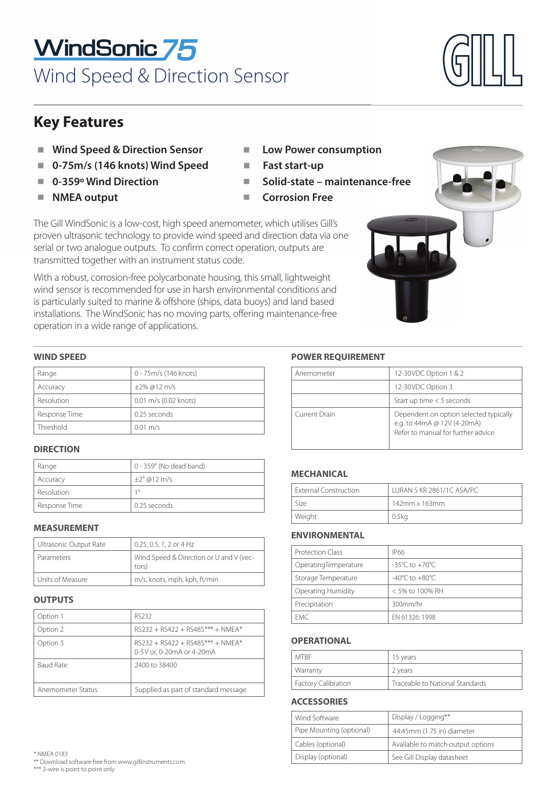# WindSonic 75 Wind Speed & Direction Sensor

# **Key Features**

- **Wind Speed & Direction Sensor**
- -**0-75m/s (146 knots) Wind Speed** -
- -**0-359º Wind Direction** -
- -**NMEA output**  $\blacksquare$
- Low Power consumption
- **Fast start-up**
- **Solid-state maintenance-free maintena**
- **Corrosion Free**

The Gill WindSonic is a low-cost, high speed anemometer, which utilises Gill's proven ultrasonic technology to provide wind speed and direction data via one serial or two analogue outputs. To confirm correct operation, outputs are transmitted together with an instrument status code. ■ Low Power consumptio<br>
■ Fast start-up<br>
■ Solid-state – maintenar<br>
■ Corrosion Free<br>
d anemometer, which utilises Gill's<br>
nd speed and direction data via one<br>
correct operation, outputs are

With a robust, corrosion-free polycarbonate housing, this small, lightweight wind sensor is recommended for use in harsh environmental conditions and is particularly suited to marine & offshore (ships, data buoys) and land based installations. The WindSonic has no moving parts, offering maintenance-free operation in a wide range of applications.

# **WIND SPEED**

| Range         | 0 - 75m/s (146 knots) | Anemometer    |
|---------------|-----------------------|---------------|
| Accuracy      | $\pm 2\%$ @12 m/s     |               |
| Resolution    | 0.01 m/s (0.02 knots) |               |
| Response Time | 0.25 seconds          | Current Drain |
| Threshold     | $0.01 \text{ m/s}$    |               |

# **DIRECTION**

| Range         | 0 - 359° (No dead band) |
|---------------|-------------------------|
| Accuracy      | $\pm 2^{\circ}$ @12 m/s |
| Resolution    | 10                      |
| Response Time | 0.25 seconds            |

| Ultrasonic Output Rate | 0.25, 0.5, 1, 2 or 4 Hz                          |
|------------------------|--------------------------------------------------|
| Parameters             | Wind Speed & Direction or U and V (vec-<br>tors) |
| Units of Measure       | m/s, knots, mph, kph, ft/min                     |

# **OUTPUTS**

| Option 1          | RS232                                                                       |
|-------------------|-----------------------------------------------------------------------------|
| Option 2          | $RS232 + RS422 + RS485*** + NMFA*$                                          |
| Option 3          | $RS$ 232 + $RS$ 422 + $RS$ 485*** + NMEA*<br>0-5 V or. 0-20 m A or 4-20 m A |
| <b>Baud Rate</b>  | 2400 to 38400                                                               |
| Anemometer Status | Supplied as part of standard message                                        |

# **POWER REOUIREMENT**

| Anemometer    | 12-30 VDC Option 1 & 2                                                                                      |
|---------------|-------------------------------------------------------------------------------------------------------------|
|               | 12-30VDC Option 3                                                                                           |
|               | Start up time $<$ 5 seconds                                                                                 |
| Current Drain | Dependent on option selected typically<br>e.g. to 44mA @ 12V (4-20mA)<br>Refer to manual for further advice |

| <b>External Construction</b> | LURAN S KR 2861/1C ASA/PC |
|------------------------------|---------------------------|
| Size                         | $142$ mm x $163$ mm       |
| Weight                       | 0.5kg                     |

| <b>Protection Class</b> | IP66                               |
|-------------------------|------------------------------------|
| OperatingTemperature    | $-35^{\circ}$ C to $+70^{\circ}$ C |
| Storage Temperature     | $-40^{\circ}$ C to $+80^{\circ}$ C |
| Operating Humidity      | < 5% to 100% RH                    |
| Precipitation           | 300mm/hr                           |
| FMC.                    | FN 61326: 1998                     |

### **OPERATIONAL OPERATIONAL**

| <b>MTRF</b>                | 15 years                        |
|----------------------------|---------------------------------|
| Warranty                   | 2 years                         |
| <b>Factory Calibration</b> | Traceable to National Standards |

# **ACCESSORIES**

| Wind Software            | Display / Logging**               |
|--------------------------|-----------------------------------|
| Pipe Mounting (optional) | 44.45mm (1.75 in) diameter        |
| Cables (optional)        | Available to match output options |
| Display (optional)       | See Gill Display datasheet        |